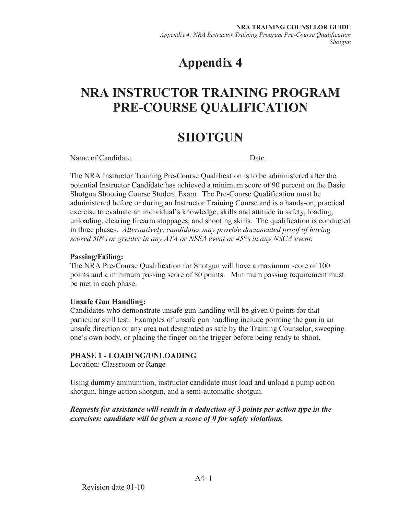# **Appendix 4**

# **NRA INSTRUCTOR TRAINING PROGRAM PRE-COURSE QUALIFICATION**

# **SHOTGUN**

Name of Candidate **Date** 

The NRA Instructor Training Pre-Course Qualification is to be administered after the potential Instructor Candidate has achieved a minimum score of 90 percent on the Basic Shotgun Shooting Course Student Exam. The Pre-Course Qualification must be administered before or during an Instructor Training Course and is a hands-on, practical exercise to evaluate an individual's knowledge, skills and attitude in safety, loading, unloading, clearing firearm stoppages, and shooting skills. The qualification is conducted in three phases. *Alternatively, candidates may provide documented proof of having scored 50% or greater in any ATA or NSSA event or 45% in any NSCA event.* 

## **Passing/Failing:**

The NRA Pre-Course Qualification for Shotgun will have a maximum score of 100 points and a minimum passing score of 80 points. Minimum passing requirement must be met in each phase.

## **Unsafe Gun Handling:**

Candidates who demonstrate unsafe gun handling will be given 0 points for that particular skill test. Examples of unsafe gun handling include pointing the gun in an unsafe direction or any area not designated as safe by the Training Counselor, sweeping one's own body, or placing the finger on the trigger before being ready to shoot.

## **PHASE 1 - LOADING/UNLOADING**

Location: Classroom or Range

Using dummy ammunition, instructor candidate must load and unload a pump action shotgun, hinge action shotgun, and a semi-automatic shotgun.

## *Requests for assistance will result in a deduction of 3 points per action type in the exercises; candidate will be given a score of 0 for safety violations.*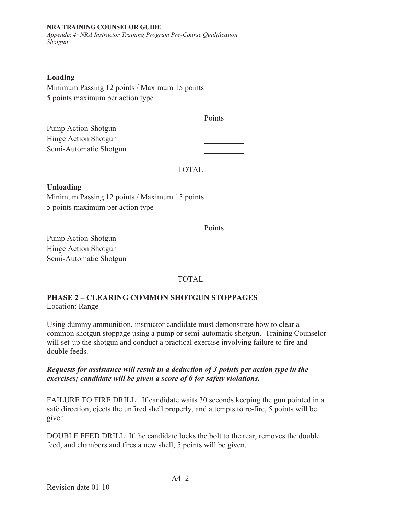#### **NRA TRAINING COUNSELOR GUIDE**

*Appendix 4: NRA Instructor Training Program Pre-Course Qualification Shotgun* 

### **Loading**

Minimum Passing 12 points / Maximum 15 points 5 points maximum per action type

|                        | Points |
|------------------------|--------|
| Pump Action Shotgun    |        |
| Hinge Action Shotgun   |        |
| Semi-Automatic Shotgun |        |
|                        |        |

TOTAL

### **Unloading**

Minimum Passing 12 points / Maximum 15 points 5 points maximum per action type

|                        | Points |
|------------------------|--------|
| Pump Action Shotgun    |        |
| Hinge Action Shotgun   |        |
| Semi-Automatic Shotgun |        |

TOTAL

# **PHASE 2 – CLEARING COMMON SHOTGUN STOPPAGES**

Location: Range

Using dummy ammunition, instructor candidate must demonstrate how to clear a common shotgun stoppage using a pump or semi-automatic shotgun. Training Counselor will set-up the shotgun and conduct a practical exercise involving failure to fire and double feeds.

### *Requests for assistance will result in a deduction of 3 points per action type in the exercises; candidate will be given a score of 0 for safety violations.*

FAILURE TO FIRE DRILL: If candidate waits 30 seconds keeping the gun pointed in a safe direction, ejects the unfired shell properly, and attempts to re-fire, 5 points will be given.

DOUBLE FEED DRILL: If the candidate locks the bolt to the rear, removes the double feed, and chambers and fires a new shell, 5 points will be given.